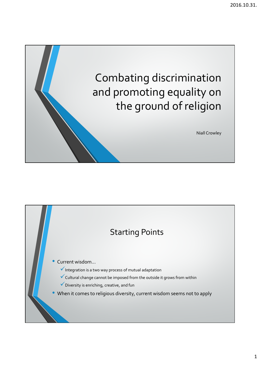

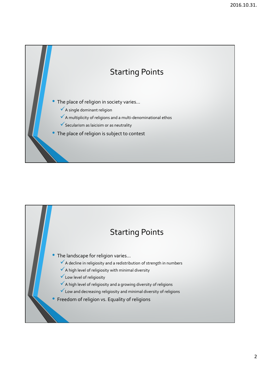

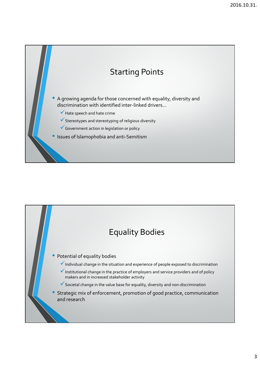

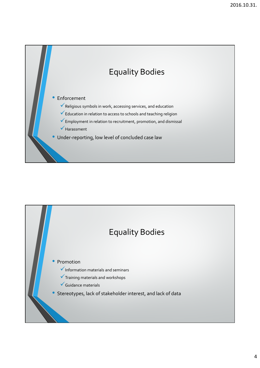

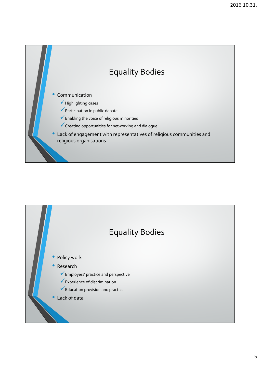

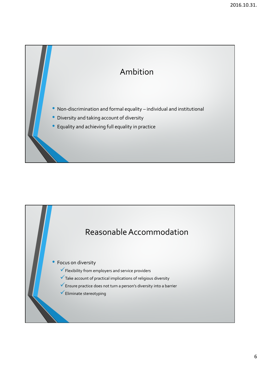

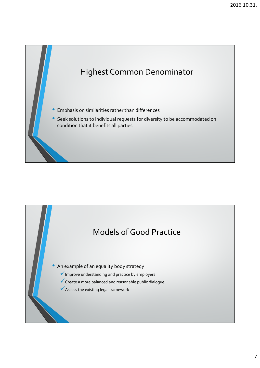

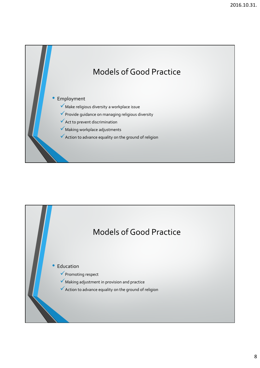